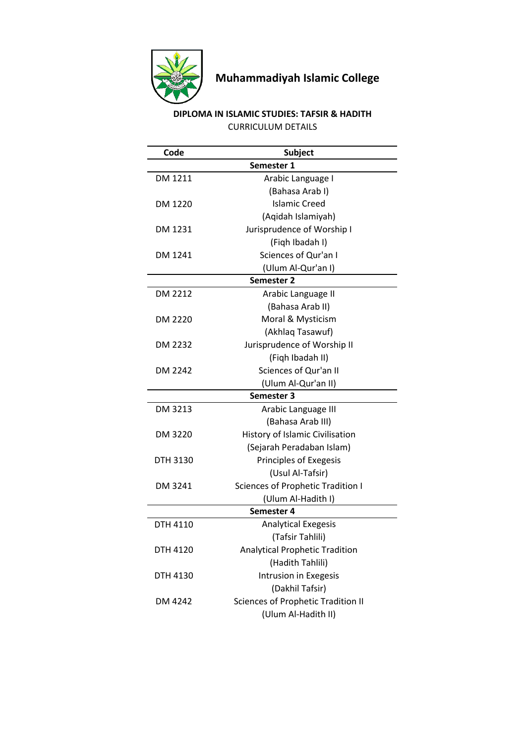

## **Muhammadiyah Islamic College**

## **DIPLOMA IN ISLAMIC STUDIES: TAFSIR & HADITH** CURRICULUM DETAILS

| Code              | <b>Subject</b>                            |  |
|-------------------|-------------------------------------------|--|
|                   | Semester 1                                |  |
| DM 1211           | Arabic Language I                         |  |
|                   | (Bahasa Arab I)                           |  |
| DM 1220           | <b>Islamic Creed</b>                      |  |
|                   | (Aqidah Islamiyah)                        |  |
| DM 1231           | Jurisprudence of Worship I                |  |
|                   | (Figh Ibadah I)                           |  |
| DM 1241           | Sciences of Qur'an I                      |  |
|                   | (Ulum Al-Qur'an I)                        |  |
| <b>Semester 2</b> |                                           |  |
| DM 2212           | Arabic Language II                        |  |
|                   | (Bahasa Arab II)                          |  |
| DM 2220           | Moral & Mysticism                         |  |
|                   | (Akhlaq Tasawuf)                          |  |
| DM 2232           | Jurisprudence of Worship II               |  |
|                   | (Figh Ibadah II)                          |  |
| DM 2242           | Sciences of Qur'an II                     |  |
|                   | (Ulum Al-Qur'an II)                       |  |
| <b>Semester 3</b> |                                           |  |
| DM 3213           | Arabic Language III                       |  |
|                   | (Bahasa Arab III)                         |  |
| DM 3220           | History of Islamic Civilisation           |  |
|                   | (Sejarah Peradaban Islam)                 |  |
| DTH 3130          | Principles of Exegesis                    |  |
|                   | (Usul Al-Tafsir)                          |  |
| DM 3241           | Sciences of Prophetic Tradition I         |  |
|                   | (Ulum Al-Hadith I)                        |  |
|                   | Semester 4                                |  |
| DTH 4110          | <b>Analytical Exegesis</b>                |  |
|                   | (Tafsir Tahlili)                          |  |
| <b>DTH 4120</b>   | <b>Analytical Prophetic Tradition</b>     |  |
|                   | (Hadith Tahlili)                          |  |
| DTH 4130          | Intrusion in Exegesis                     |  |
|                   | (Dakhil Tafsir)                           |  |
| DM 4242           | <b>Sciences of Prophetic Tradition II</b> |  |
|                   | (Ulum Al-Hadith II)                       |  |